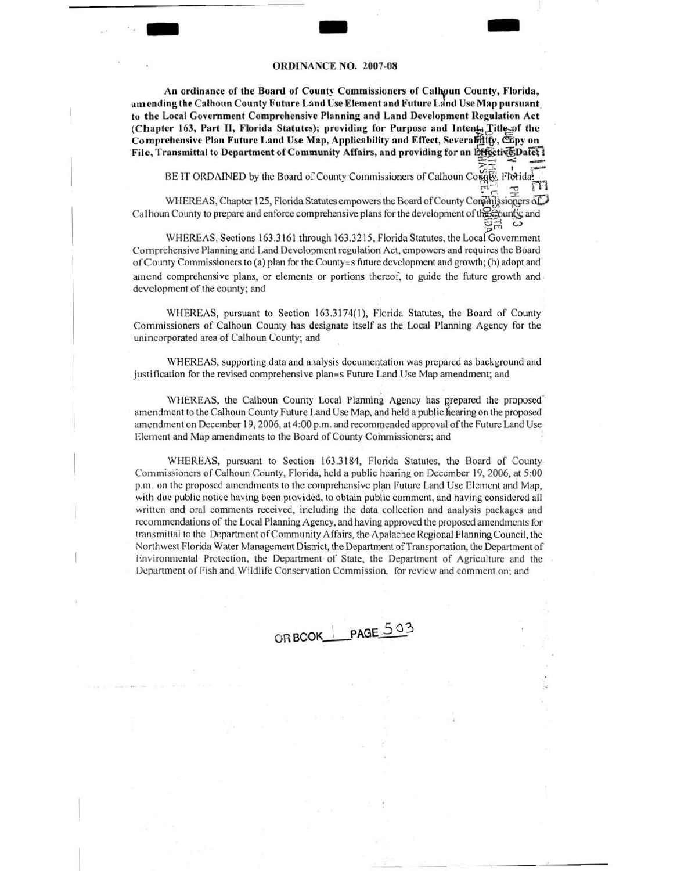# **ORDINANCE NO. 2007-08**

An ordinance of the Board of County Commissioners of Calhoun County, Florida, amending the Calhoun County Future Land Use Element and Future Land Use Map pursuant to the Local Government Comprehensive Planning and Land Development Regulation Act (Chapter 163, Part II, Florida Statutes); providing for Purpose and Intent, Title-of the Comprehensive Plan Future Land Use Map, Applicability and Effect, Severability, Capy on File, Transmittal to Department of Community Affairs, and providing for an EffectiveDated

BE IT ORDAINED by the Board of County Commissioners of Calhoun Compt, Floridat

WHEREAS, Chapter 125, Florida Statutes empowers the Board of County Commissioners of Calhoun County to prepare and enforce comprehensive plans for the development of the Epunty; and  $\Xi_{\Xi}$ 

WHEREAS, Sections 163.3161 through 163.3215, Florida Statutes, the Local Government Comprehensive Planning and Land Development regulation Act, empowers and requires the Board of County Commissioners to (a) plan for the County=s future development and growth; (b) adopt and amend comprehensive plans, or elements or portions thereof, to guide the future growth and development of the county; and

WHEREAS, pursuant to Section 163.3174(1), Florida Statutes, the Board of County Commissioners of Calhoun County has designate itself as the Local Planning Agency for the unincorporated area of Calhoun County; and

WHEREAS, supporting data and analysis documentation was prepared as background and justification for the revised comprehensive plan=s Future Land Use Map amendment; and

WHEREAS, the Calhoun County Local Planning Agency has prepared the proposed amendment to the Calhoun County Future Land Use Map, and held a public hearing on the proposed amendment on December 19, 2006, at 4:00 p.m. and recommended approval of the Future Land Use Element and Map amendments to the Board of County Commissioners; and

WHEREAS, pursuant to Section 163.3184, Florida Statutes, the Board of County Commissioners of Calhoun County, Florida, held a public hearing on December 19, 2006, at 5:00 p.m. on the proposed amendments to the comprehensive plan Future Land Use Element and Map, with due public notice having been provided, to obtain public comment, and having considered all written and oral comments received, including the data collection and analysis packages and recommendations of the Local Planning Agency, and having approved the proposed amendments for transmittal to the Department of Community Affairs, the Apalachee Regional Planning Council, the Northwest Florida Water Management District, the Department of Transportation, the Department of Environmental Protection, the Department of State, the Department of Agriculture and the Department of Fish and Wildlife Conservation Commission, for review and comment on; and

ORBOOK | PAGE 503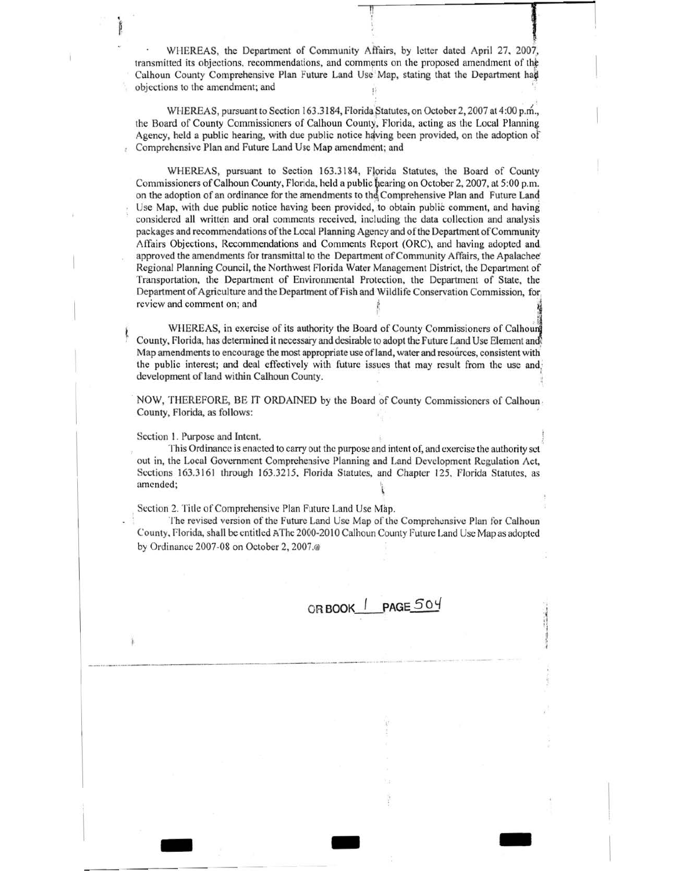WHEREAS, the Department of Community Affairs, by letter dated April 27, 2007, transmitted its objections, recommendations, and comments on the proposed amendment of the Calhoun County Comprehensive Plan Future Land Use Map, stating that the Department had objections to the amendment; and . .

II 1

WHEREAS, pursuant to Section 163.3184, Florida Statutes, on October 2, 2007 at 4:00 p.m., the Board of County Commissioners of Calhoun County, Florida, acting as the Local Planning Agency, held a public hearing, with due public notice having been provided, on the adoption of Comprehensive Plan and Future Land Use Map amendment; and

WHEREAS, pursuant to Section 163.3184, Florida Statutes, the Board of County Commissioners of Calhoun County, Florida, held a public hearing on October 2, 2007, at 5:00 p.m. on the adoption of an ordinance for the amendments to the Comprehensive Plan and Future Land Use Map, with due public notice having been provided, to obtain public comment, and having considered all written and oral comments received, including the data collection and analysis packages and recommendations oft he Local Planning Agency and of the Department of Community Affairs Objections, Recommendations and Comments Report (ORC), and having adopted and approved the amendments for transmittal to the Department of Community Affairs, the Apalachee' Regional Planning Council, the Northwest Florida Water Management District, the Department of Transportation, the Department of Environmental Protection, the Department of State, the Department of Agriculture and the Department of Fish and Wildlife Conservation Commission, for, review and comment on; and

WHEREAS, in exercise of its authority the Board of County Commissioners of Calhoun County, Florida, has determined it necessary and desirable to adopt the Future Land Use Element an& Map amendments to encourage the most appropriate use of land, water and resources, consistent with. the public interest; and deal effectively with future issues that may result from the use and; development of land within Calhoun County. '

NOW, THEREFORE, BE IT ORDAINED by the Board of County Commissioners of Calhoun County, Florida, as follows:

Section I. Purpose and Intent.

This Ordinance is enacted to carry out the purpose and intent of, and exercise the authority set out in, the Local Government Comprehensive Planning and Land Development Regulation Act, Sections 163.3161 through 163.3215, Florida Statutes, and Chapter 125, Florida Statutes, as amended;  $\mathbf i$ 

Section 2. Title of Comprehensive Plan Future Land Use Map.

The revised version of the Future Land Usc Map of the Comprehensive Plan for Calhoun County, Florida, shall be entitled AThe 2000-2010 Calhoun County Future Land Use Map as adopted by Ordinance 2007-08 on October 2. 2007.@

- .. -

**ORBOOK \_\_ / \_PAGE50Y**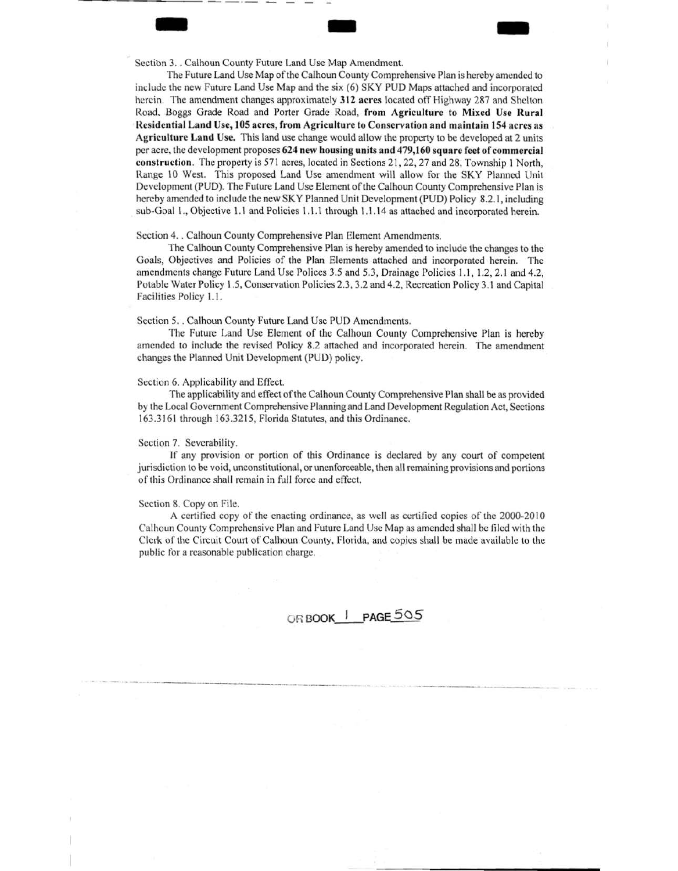1.<br>
1998 : Calhoun County Future Land Use Map Amendment. Section 3. . Calhoun County Future Land Use Map Amendment.

------------ ·- - - -

The Future Land Use Map of the Calhoun County Comprehensive Plan is hereby amended to include the new Future Land Use Map and the six (6) SKY PUD Maps attached and incorporated herein. The amendment changes approximately 312 acres located off Highway 287 and Shelton Road. Boggs Grade Road and Porter Grade Road, from Agriculture to Mixed Usc Rural Residential Land Use, 105 acres, from Agriculture to Conservation and maintain 154 acres as Agriculture Land Use. This land usc change would allow the property to be developed at 2 units per acre, the development proposes 624 new housing units and 479,160 square feet of commercial construction. The property is 571 acres, located in Sections 21, 22, 27 and 28, Township I North, Range 10 West. This proposed Land Use amendment will allow for the SKY Planned Unit Development (PUD). The Future Land Use Element of the Calhoun County Comprehensive Plan is hereby amended to include the new SKY Planned Unit Development (PUD) Policy 8.2.1, including sub-Goal 1., Objective 1.1 and Policies 1.1.1 through 1.1.14 as attached and incorporated herein.

### Section 4. . Calhoun County Comprehensive Plan Element Amendments.

The Calhoun County Comprehensive Plan is hereby amended to include the changes to the Goals, Objectives and Policies of the Plan Elements attached and incorporated herein. The amendments change Future Land Use Polices 3.5 and 5.3, Drainage Policies 1.1, 1.2, 2. 1 and 4.2, Potable Water Policy 1.5, Conservation Policies 2.3, 3.2 and 4.2, Recreation Policy 3.1 and Capital Facilities Policy 1.1.

## Section 5. . Calhoun County Future Land Use PUD Amendments.

The Future Land Use Element of the Calhoun County Comprehensive Plan is hereby amended to include the revised Policy 8.2 attached and incorporated herein. The amendment changes the Planned Unit Development (PUD) policy.

### Section 6. Applicability and Effect.

The applicability and etfect of the Calhoun County Comprehensive Plan shall be as provided by the Local Government Comprehensive Planning and Land Development Regulation Act, Sections 163.3161 through 163.3215, Florida Statutes, and this Ordinance.

#### Section 7. Severability.

If any provision or portion of this Ordinance is declared by any court of competent jurisdiction lobe void, unconstitutional, or unenforceable, then all remaining provisions and portions of this Ordinance shall remain in full force and effect.

#### Section 8. Copy on File.

. .<br>At the metric product the complete of the control of the complete of the complete and complete the complete or  $\omega$  and

A certified copy of the enacting ordinance, as well as certified copies of the 2000-2010 Calhoun County Comprehensive Plan and Future Land Use Map as amended shall be filed wilh the Clerk or the Circuit Court of Calhoun County, Florida, and copies shall be made available to the public for a reasonable publication charge.

OR BOOK PAGE 505